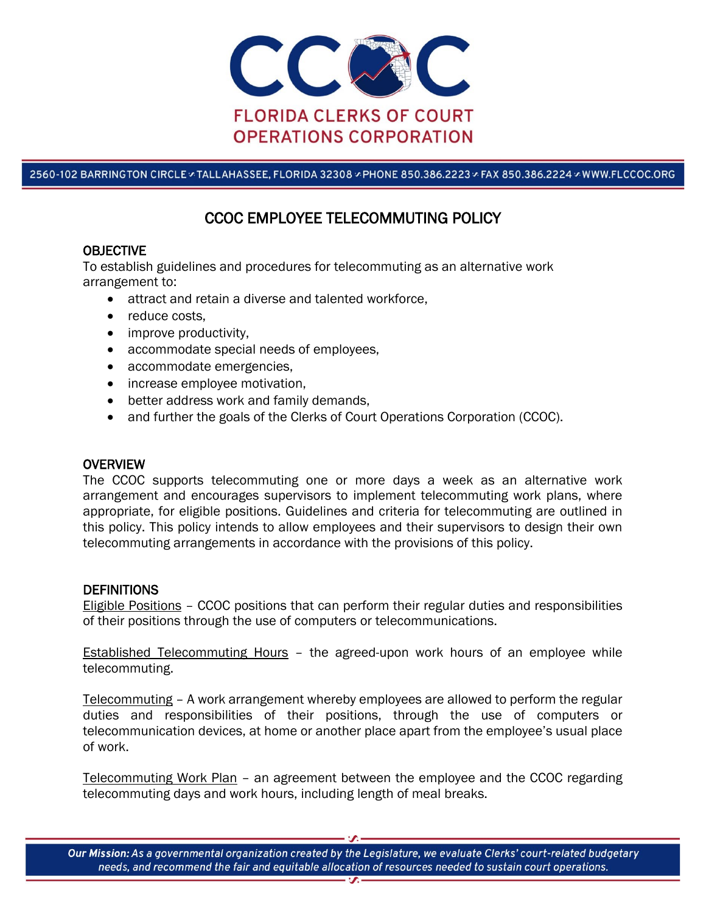

2560-102 BARRINGTON CIRCLE & TALLAHASSEE, FLORIDA 32308 & PHONE 850.386.2223 & FAX 850.386.2224 & WWW.FLCCOC.ORG

# CCOC EMPLOYEE TELECOMMUTING POLICY

## **OBJECTIVE**

To establish guidelines and procedures for telecommuting as an alternative work arrangement to:

- attract and retain a diverse and talented workforce,
- reduce costs,
- improve productivity,
- accommodate special needs of employees,
- accommodate emergencies,
- increase employee motivation,
- better address work and family demands,
- and further the goals of the Clerks of Court Operations Corporation (CCOC).

# **OVERVIEW**

The CCOC supports telecommuting one or more days a week as an alternative work arrangement and encourages supervisors to implement telecommuting work plans, where appropriate, for eligible positions. Guidelines and criteria for telecommuting are outlined in this policy. This policy intends to allow employees and their supervisors to design their own telecommuting arrangements in accordance with the provisions of this policy.

#### **DEFINITIONS**

Eligible Positions – CCOC positions that can perform their regular duties and responsibilities of their positions through the use of computers or telecommunications.

**Established Telecommuting Hours** - the agreed-upon work hours of an employee while telecommuting.

Telecommuting – A work arrangement whereby employees are allowed to perform the regular duties and responsibilities of their positions, through the use of computers or telecommunication devices, at home or another place apart from the employee's usual place of work.

Telecommuting Work Plan – an agreement between the employee and the CCOC regarding telecommuting days and work hours, including length of meal breaks.

Our Mission: As a governmental organization created by the Legislature, we evaluate Clerks' court-related budgetary needs, and recommend the fair and equitable allocation of resources needed to sustain court operations.  $\overline{\mathbf{z}}$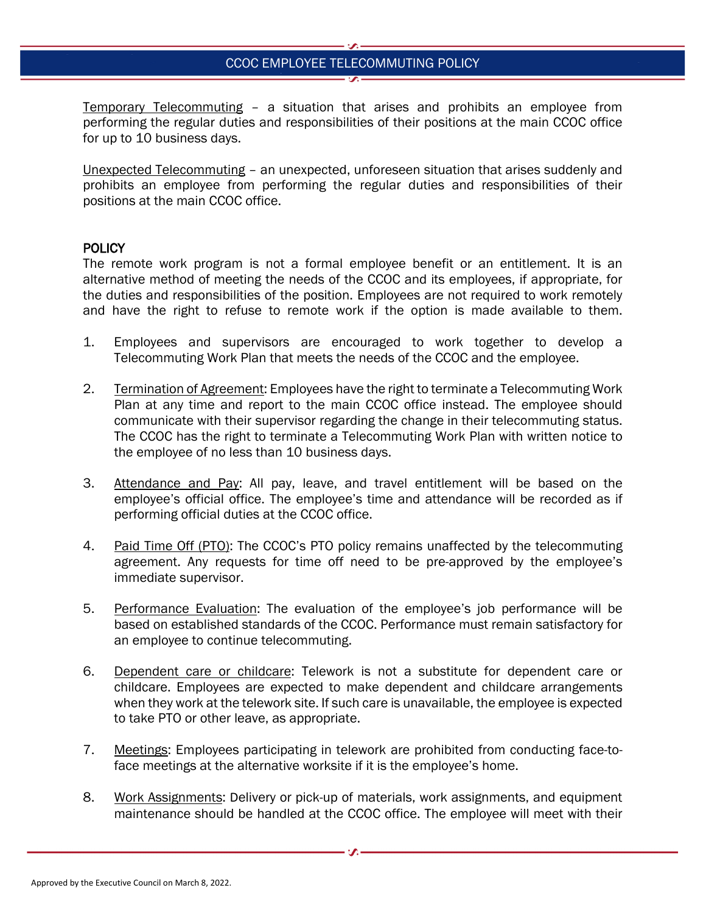# CCOC EMPLOYEE TELECOMMUTING POLICY

Temporary Telecommuting – a situation that arises and prohibits an employee from performing the regular duties and responsibilities of their positions at the main CCOC office for up to 10 business days.

Unexpected Telecommuting – an unexpected, unforeseen situation that arises suddenly and prohibits an employee from performing the regular duties and responsibilities of their positions at the main CCOC office.

#### **POLICY**

The remote work program is not a formal employee benefit or an entitlement. It is an alternative method of meeting the needs of the CCOC and its employees, if appropriate, for the duties and responsibilities of the position. Employees are not required to work remotely and have the right to refuse to remote work if the option is made available to them.

- 1. Employees and supervisors are encouraged to work together to develop a Telecommuting Work Plan that meets the needs of the CCOC and the employee.
- 2. Termination of Agreement: Employees have the right to terminate a Telecommuting Work Plan at any time and report to the main CCOC office instead. The employee should communicate with their supervisor regarding the change in their telecommuting status. The CCOC has the right to terminate a Telecommuting Work Plan with written notice to the employee of no less than 10 business days.
- 3. Attendance and Pay: All pay, leave, and travel entitlement will be based on the employee's official office. The employee's time and attendance will be recorded as if performing official duties at the CCOC office.
- 4. Paid Time Off (PTO): The CCOC's PTO policy remains unaffected by the telecommuting agreement. Any requests for time off need to be pre-approved by the employee's immediate supervisor.
- 5. Performance Evaluation: The evaluation of the employee's job performance will be based on established standards of the CCOC. Performance must remain satisfactory for an employee to continue telecommuting.
- 6. Dependent care or childcare: Telework is not a substitute for dependent care or childcare. Employees are expected to make dependent and childcare arrangements when they work at the telework site. If such care is unavailable, the employee is expected to take PTO or other leave, as appropriate.
- 7. Meetings: Employees participating in telework are prohibited from conducting face-toface meetings at the alternative worksite if it is the employee's home.
- 8. Work Assignments: Delivery or pick-up of materials, work assignments, and equipment maintenance should be handled at the CCOC office. The employee will meet with their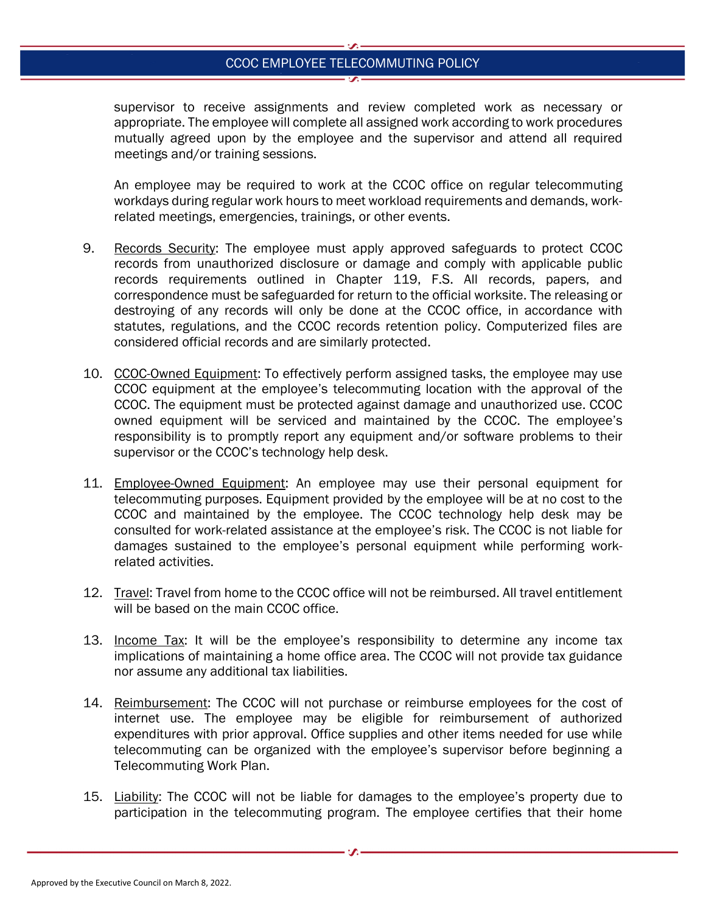## CCOC EMPLOYEE TELECOMMUTING POLICY

supervisor to receive assignments and review completed work as necessary or appropriate. The employee will complete all assigned work according to work procedures mutually agreed upon by the employee and the supervisor and attend all required meetings and/or training sessions.

An employee may be required to work at the CCOC office on regular telecommuting workdays during regular work hours to meet workload requirements and demands, workrelated meetings, emergencies, trainings, or other events.

- 9. Records Security: The employee must apply approved safeguards to protect CCOC records from unauthorized disclosure or damage and comply with applicable public records requirements outlined in Chapter 119, F.S. All records, papers, and correspondence must be safeguarded for return to the official worksite. The releasing or destroying of any records will only be done at the CCOC office, in accordance with statutes, regulations, and the CCOC records retention policy. Computerized files are considered official records and are similarly protected.
- 10. CCOC-Owned Equipment: To effectively perform assigned tasks, the employee may use CCOC equipment at the employee's telecommuting location with the approval of the CCOC. The equipment must be protected against damage and unauthorized use. CCOC owned equipment will be serviced and maintained by the CCOC. The employee's responsibility is to promptly report any equipment and/or software problems to their supervisor or the CCOC's technology help desk.
- 11. Employee-Owned Equipment: An employee may use their personal equipment for telecommuting purposes. Equipment provided by the employee will be at no cost to the CCOC and maintained by the employee. The CCOC technology help desk may be consulted for work-related assistance at the employee's risk. The CCOC is not liable for damages sustained to the employee's personal equipment while performing workrelated activities.
- 12. Travel: Travel from home to the CCOC office will not be reimbursed. All travel entitlement will be based on the main CCOC office.
- 13. Income Tax: It will be the employee's responsibility to determine any income tax implications of maintaining a home office area. The CCOC will not provide tax guidance nor assume any additional tax liabilities.
- 14. Reimbursement: The CCOC will not purchase or reimburse employees for the cost of internet use. The employee may be eligible for reimbursement of authorized expenditures with prior approval. Office supplies and other items needed for use while telecommuting can be organized with the employee's supervisor before beginning a Telecommuting Work Plan.
- 15. Liability: The CCOC will not be liable for damages to the employee's property due to participation in the telecommuting program. The employee certifies that their home